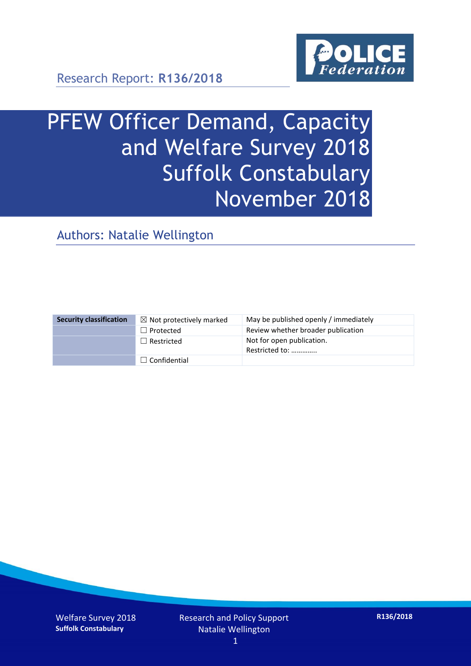

Research Report: **R136/2018**

# PFEW Officer Demand, Capacity and Welfare Survey 2018 Suffolk Constabulary November 2018

Authors: Natalie Wellington

| <b>Security classification</b> | $\boxtimes$ Not protectively marked | May be published openly / immediately       |
|--------------------------------|-------------------------------------|---------------------------------------------|
|                                | $\Box$ Protected                    | Review whether broader publication          |
|                                | $\Box$ Restricted                   | Not for open publication.<br>Restricted to: |
|                                | $\Box$ Confidential                 |                                             |

Welfare Survey 2018 **Suffolk Constabulary**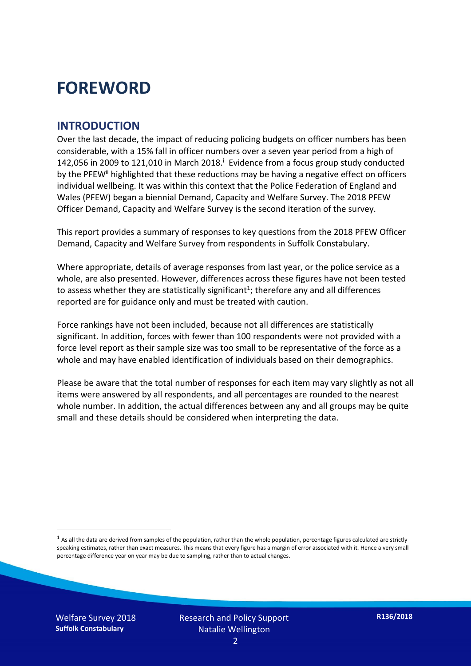### **FOREWORD**

#### **INTRODUCTION**

Over the last decade, the impact of reducing policing budgets on officer numbers has been considerable, with a 15% fall in officer numbers over a seven year period from a high of 142,056 in 2009 to 121,010 in March 2018. $^{\mathrm{i}}$  Evidence from a focus group study conducted by the PFEW<sup>ii</sup> highlighted that these reductions may be having a negative effect on officers individual wellbeing. It was within this context that the Police Federation of England and Wales (PFEW) began a biennial Demand, Capacity and Welfare Survey. The 2018 PFEW Officer Demand, Capacity and Welfare Survey is the second iteration of the survey.

This report provides a summary of responses to key questions from the 2018 PFEW Officer Demand, Capacity and Welfare Survey from respondents in Suffolk Constabulary.

Where appropriate, details of average responses from last year, or the police service as a whole, are also presented. However, differences across these figures have not been tested to assess whether they are statistically significant<sup>1</sup>; therefore any and all differences reported are for guidance only and must be treated with caution.

Force rankings have not been included, because not all differences are statistically significant. In addition, forces with fewer than 100 respondents were not provided with a force level report as their sample size was too small to be representative of the force as a whole and may have enabled identification of individuals based on their demographics.

Please be aware that the total number of responses for each item may vary slightly as not all items were answered by all respondents, and all percentages are rounded to the nearest whole number. In addition, the actual differences between any and all groups may be quite small and these details should be considered when interpreting the data.

 $<sup>1</sup>$  As all the data are derived from samples of the population, rather than the whole population, percentage figures calculated are strictly</sup> speaking estimates, rather than exact measures. This means that every figure has a margin of error associated with it. Hence a very small percentage difference year on year may be due to sampling, rather than to actual changes.

Welfare Survey 2018 **Suffolk Constabulary**

-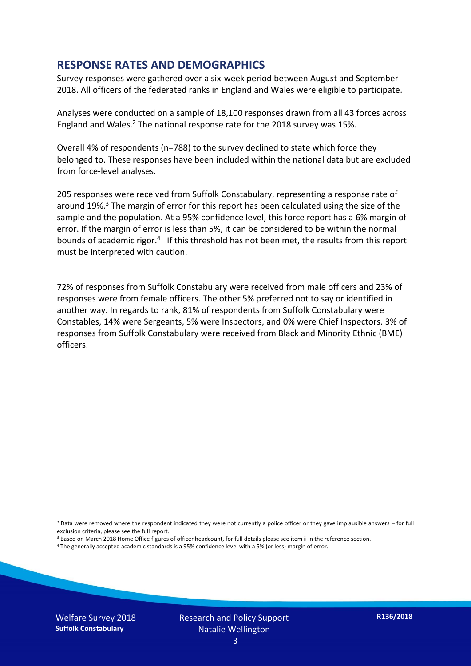#### **RESPONSE RATES AND DEMOGRAPHICS**

Survey responses were gathered over a six-week period between August and September 2018. All officers of the federated ranks in England and Wales were eligible to participate.

Analyses were conducted on a sample of 18,100 responses drawn from all 43 forces across England and Wales.<sup>2</sup> The national response rate for the 2018 survey was 15%.

Overall 4% of respondents (n=788) to the survey declined to state which force they belonged to. These responses have been included within the national data but are excluded from force-level analyses.

205 responses were received from Suffolk Constabulary, representing a response rate of around 19%. <sup>3</sup> The margin of error for this report has been calculated using the size of the sample and the population. At a 95% confidence level, this force report has a 6% margin of error. If the margin of error is less than 5%, it can be considered to be within the normal bounds of academic rigor.<sup>4</sup> If this threshold has not been met, the results from this report must be interpreted with caution.

72% of responses from Suffolk Constabulary were received from male officers and 23% of responses were from female officers. The other 5% preferred not to say or identified in another way. In regards to rank, 81% of respondents from Suffolk Constabulary were Constables, 14% were Sergeants, 5% were Inspectors, and 0% were Chief Inspectors. 3% of responses from Suffolk Constabulary were received from Black and Minority Ethnic (BME) officers.

-

 $2$  Data were removed where the respondent indicated they were not currently a police officer or they gave implausible answers – for full exclusion criteria, please see the full report.

<sup>3</sup> Based on March 2018 Home Office figures of officer headcount, for full details please see item ii in the reference section.

<sup>4</sup> The generally accepted academic standards is a 95% confidence level with a 5% (or less) margin of error.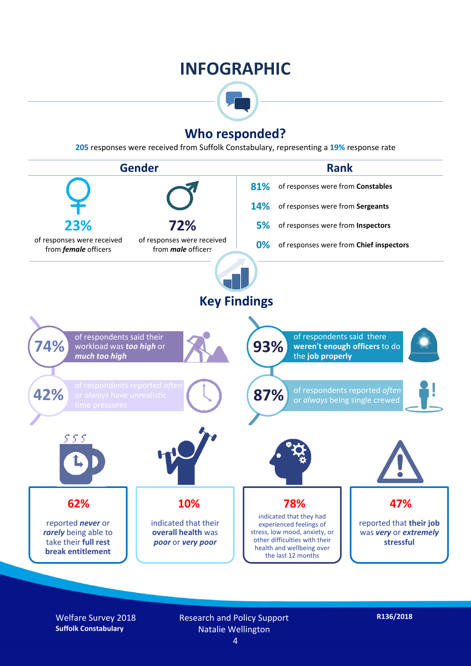### **INFOGRAPHIC**



#### **Who responded?**

**205** responses were received from Suffolk Constabulary, representing a **19%** response rate



Welfare Survey 2018 **Suffolk Constabulary**

Research and Policy Support Natalie Wellington 4

**R136/2018**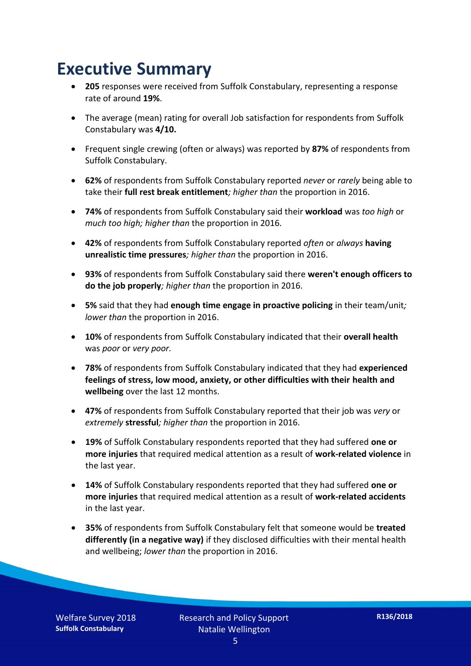### **Executive Summary**

- **205** responses were received from Suffolk Constabulary, representing a response rate of around **19%**.
- The average (mean) rating for overall Job satisfaction for respondents from Suffolk Constabulary was **4/10.**
- Frequent single crewing (often or always) was reported by **87%** of respondents from Suffolk Constabulary.
- **62%** of respondents from Suffolk Constabulary reported *never* or *rarely* being able to take their **full rest break entitlement***; higher than* the proportion in 2016.
- **74%** of respondents from Suffolk Constabulary said their **workload** was *too high* or *much too high; higher than* the proportion in 2016.
- **42%** of respondents from Suffolk Constabulary reported *often* or *always* **having unrealistic time pressures***; higher than* the proportion in 2016.
- **93%** of respondents from Suffolk Constabulary said there **weren't enough officers to do the job properly***; higher than* the proportion in 2016.
- **5%** said that they had **enough time engage in proactive policing** in their team/unit*; lower than* the proportion in 2016.
- **10%** of respondents from Suffolk Constabulary indicated that their **overall health** was *poor* or *very poor.*
- **78%** of respondents from Suffolk Constabulary indicated that they had **experienced feelings of stress, low mood, anxiety, or other difficulties with their health and wellbeing** over the last 12 months.
- **47%** of respondents from Suffolk Constabulary reported that their job was *very* or *extremely* **stressful***; higher than* the proportion in 2016.
- **19%** of Suffolk Constabulary respondents reported that they had suffered **one or more injuries** that required medical attention as a result of **work-related violence** in the last year.
- **14%** of Suffolk Constabulary respondents reported that they had suffered **one or more injuries** that required medical attention as a result of **work-related accidents**  in the last year.
- **35%** of respondents from Suffolk Constabulary felt that someone would be **treated differently (in a negative way)** if they disclosed difficulties with their mental health and wellbeing; *lower than* the proportion in 2016.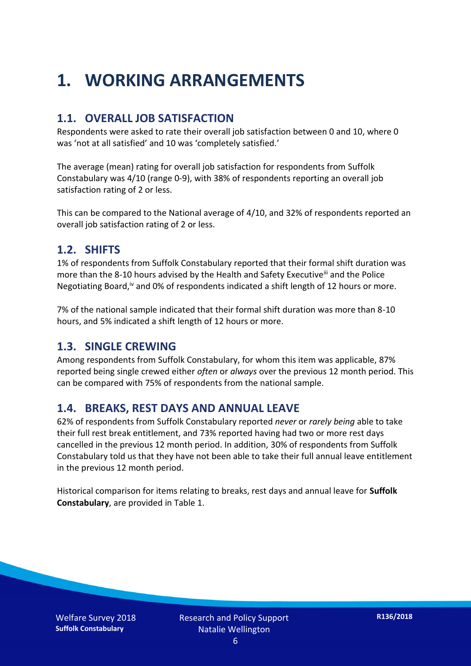## **1. WORKING ARRANGEMENTS**

#### **1.1. OVERALL JOB SATISFACTION**

Respondents were asked to rate their overall job satisfaction between 0 and 10, where 0 was 'not at all satisfied' and 10 was 'completely satisfied.'

The average (mean) rating for overall job satisfaction for respondents from Suffolk Constabulary was 4/10 (range 0-9), with 38% of respondents reporting an overall job satisfaction rating of 2 or less.

This can be compared to the National average of 4/10, and 32% of respondents reported an overall job satisfaction rating of 2 or less.

#### **1.2. SHIFTS**

1% of respondents from Suffolk Constabulary reported that their formal shift duration was more than the 8-10 hours advised by the Health and Safety Executive<sup>iii</sup> and the Police Negotiating Board,<sup>iv</sup> and 0% of respondents indicated a shift length of 12 hours or more.

7% of the national sample indicated that their formal shift duration was more than 8-10 hours, and 5% indicated a shift length of 12 hours or more.

#### **1.3. SINGLE CREWING**

Among respondents from Suffolk Constabulary, for whom this item was applicable, 87% reported being single crewed either *often* or *always* over the previous 12 month period. This can be compared with 75% of respondents from the national sample.

#### **1.4. BREAKS, REST DAYS AND ANNUAL LEAVE**

62% of respondents from Suffolk Constabulary reported *never* or *rarely being* able to take their full rest break entitlement, and 73% reported having had two or more rest days cancelled in the previous 12 month period. In addition, 30% of respondents from Suffolk Constabulary told us that they have not been able to take their full annual leave entitlement in the previous 12 month period.

Historical comparison for items relating to breaks, rest days and annual leave for **Suffolk Constabulary**, are provided in Table 1.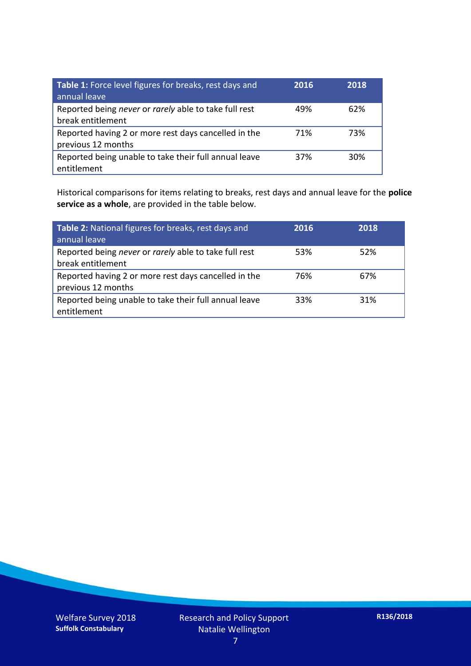| Table 1: Force level figures for breaks, rest days and<br>annual leave     | 2016 | 2018 |
|----------------------------------------------------------------------------|------|------|
| Reported being never or rarely able to take full rest<br>break entitlement | 49%  | 62%  |
| Reported having 2 or more rest days cancelled in the<br>previous 12 months | 71%  | 73%  |
| Reported being unable to take their full annual leave<br>entitlement       | 37%  | 30%  |

Historical comparisons for items relating to breaks, rest days and annual leave for the **police service as a whole**, are provided in the table below.

| Table 2: National figures for breaks, rest days and<br>annual leave        | 2016 | 2018 |
|----------------------------------------------------------------------------|------|------|
| Reported being never or rarely able to take full rest<br>break entitlement | 53%  | 52%  |
| Reported having 2 or more rest days cancelled in the<br>previous 12 months | 76%  | 67%  |
| Reported being unable to take their full annual leave<br>entitlement       | 33%  | 31%  |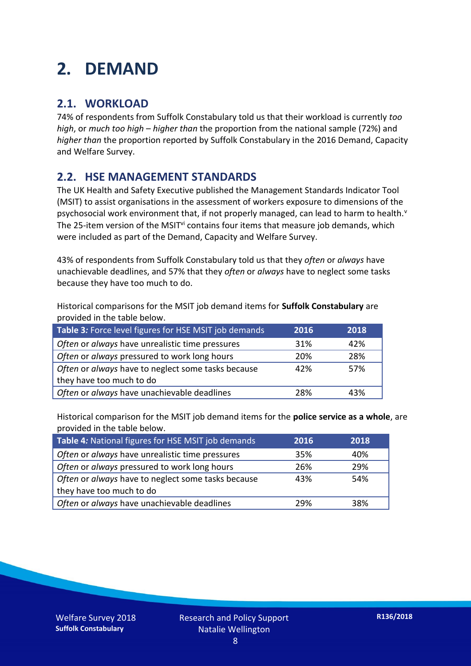### **2. DEMAND**

#### **2.1. WORKLOAD**

74% of respondents from Suffolk Constabulary told us that their workload is currently *too high*, or *much too high* – *higher than* the proportion from the national sample (72%) and *higher than* the proportion reported by Suffolk Constabulary in the 2016 Demand, Capacity and Welfare Survey.

#### **2.2. HSE MANAGEMENT STANDARDS**

The UK Health and Safety Executive published the Management Standards Indicator Tool (MSIT) to assist organisations in the assessment of workers exposure to dimensions of the psychosocial work environment that, if not properly managed, can lead to harm to health.<sup>v</sup> The 25-item version of the MSIT<sup>vi</sup> contains four items that measure job demands, which were included as part of the Demand, Capacity and Welfare Survey.

43% of respondents from Suffolk Constabulary told us that they *often* or *always* have unachievable deadlines, and 57% that they *often* or *always* have to neglect some tasks because they have too much to do.

Historical comparisons for the MSIT job demand items for **Suffolk Constabulary** are provided in the table below.

| Table 3: Force level figures for HSE MSIT job demands | 2016 | 2018 |
|-------------------------------------------------------|------|------|
| Often or always have unrealistic time pressures       | 31%  | 42%  |
| Often or always pressured to work long hours          | 20%  | 28%  |
| Often or always have to neglect some tasks because    | 42%  | 57%  |
| they have too much to do                              |      |      |
| Often or always have unachievable deadlines           | 28%  | 43%  |

Historical comparison for the MSIT job demand items for the **police service as a whole**, are provided in the table below.

| Table 4: National figures for HSE MSIT job demands | 2016 | 2018 |
|----------------------------------------------------|------|------|
| Often or always have unrealistic time pressures    | 35%  | 40%  |
| Often or always pressured to work long hours       | 26%  | 29%  |
| Often or always have to neglect some tasks because | 43%  | 54%  |
| they have too much to do                           |      |      |
| Often or always have unachievable deadlines        | 29%  | 38%  |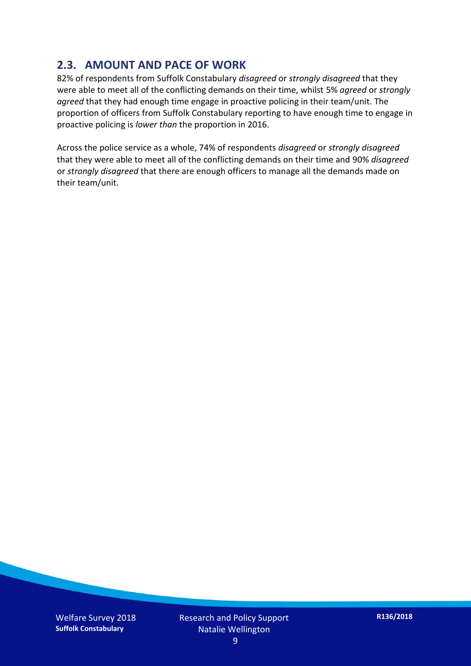#### **2.3. AMOUNT AND PACE OF WORK**

82% of respondents from Suffolk Constabulary *disagreed* or *strongly disagreed* that they were able to meet all of the conflicting demands on their time, whilst 5% *agreed* or *strongly agreed* that they had enough time engage in proactive policing in their team/unit. The proportion of officers from Suffolk Constabulary reporting to have enough time to engage in proactive policing is *lower than* the proportion in 2016.

Across the police service as a whole, 74% of respondents *disagreed* or *strongly disagreed* that they were able to meet all of the conflicting demands on their time and 90% *disagreed* or *strongly disagreed* that there are enough officers to manage all the demands made on their team/unit.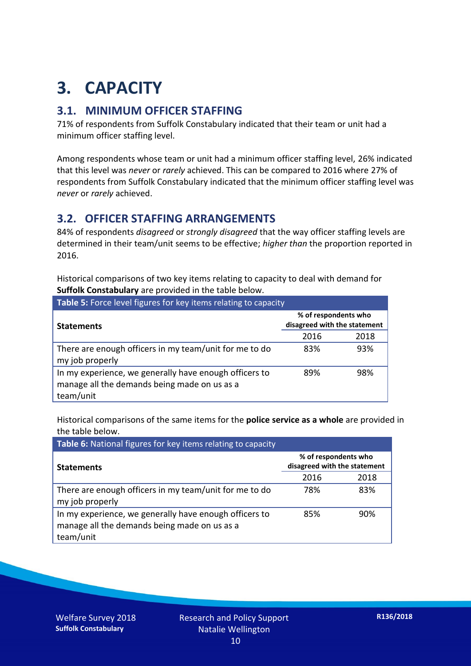## **3. CAPACITY**

#### **3.1. MINIMUM OFFICER STAFFING**

71% of respondents from Suffolk Constabulary indicated that their team or unit had a minimum officer staffing level.

Among respondents whose team or unit had a minimum officer staffing level, 26% indicated that this level was *never* or *rarely* achieved. This can be compared to 2016 where 27% of respondents from Suffolk Constabulary indicated that the minimum officer staffing level was *never* or *rarely* achieved.

#### **3.2. OFFICER STAFFING ARRANGEMENTS**

84% of respondents *disagreed* or *strongly disagreed* that the way officer staffing levels are determined in their team/unit seems to be effective; *higher than* the proportion reported in 2016.

Historical comparisons of two key items relating to capacity to deal with demand for **Suffolk Constabulary** are provided in the table below.

| Table 5: Force level figures for key items relating to capacity                                                     |                                                      |      |  |
|---------------------------------------------------------------------------------------------------------------------|------------------------------------------------------|------|--|
| <b>Statements</b>                                                                                                   | % of respondents who<br>disagreed with the statement |      |  |
|                                                                                                                     | 2016                                                 | 2018 |  |
| There are enough officers in my team/unit for me to do<br>my job properly                                           | 83%                                                  | 93%  |  |
| In my experience, we generally have enough officers to<br>manage all the demands being made on us as a<br>team/unit | 89%                                                  | 98%  |  |

Historical comparisons of the same items for the **police service as a whole** are provided in the table below.

| Table 6: National figures for key items relating to capacity                                                        |                                                      |      |  |  |
|---------------------------------------------------------------------------------------------------------------------|------------------------------------------------------|------|--|--|
| <b>Statements</b>                                                                                                   | % of respondents who<br>disagreed with the statement |      |  |  |
|                                                                                                                     | 2016                                                 | 2018 |  |  |
| There are enough officers in my team/unit for me to do<br>my job properly                                           | 78%                                                  | 83%  |  |  |
| In my experience, we generally have enough officers to<br>manage all the demands being made on us as a<br>team/unit | 85%                                                  | 90%  |  |  |

Welfare Survey 2018 **Suffolk Constabulary**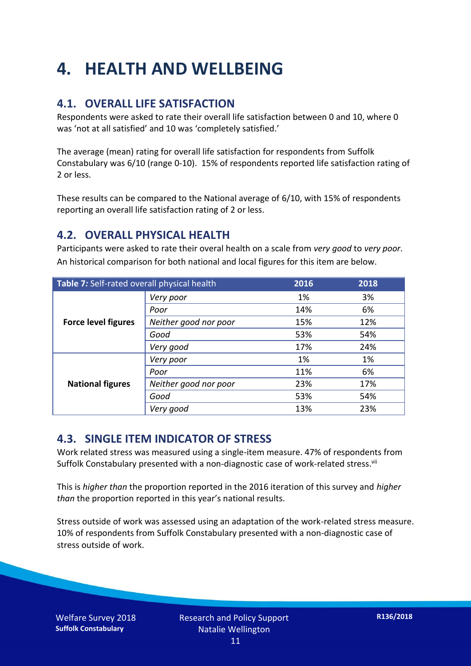## **4. HEALTH AND WELLBEING**

#### **4.1. OVERALL LIFE SATISFACTION**

Respondents were asked to rate their overall life satisfaction between 0 and 10, where 0 was 'not at all satisfied' and 10 was 'completely satisfied.'

The average (mean) rating for overall life satisfaction for respondents from Suffolk Constabulary was 6/10 (range 0-10). 15% of respondents reported life satisfaction rating of 2 or less.

These results can be compared to the National average of 6/10, with 15% of respondents reporting an overall life satisfaction rating of 2 or less.

#### **4.2. OVERALL PHYSICAL HEALTH**

Participants were asked to rate their overal health on a scale from *very good* to *very poor*. An historical comparison for both national and local figures for this item are below.

| Table 7: Self-rated overall physical health |                       | 2016 | 2018 |
|---------------------------------------------|-----------------------|------|------|
|                                             | Very poor             | 1%   | 3%   |
|                                             | Poor                  | 14%  | 6%   |
| <b>Force level figures</b>                  | Neither good nor poor | 15%  | 12%  |
|                                             | Good                  | 53%  | 54%  |
|                                             | Very good             | 17%  | 24%  |
| <b>National figures</b>                     | Very poor             | 1%   | 1%   |
|                                             | Poor                  | 11%  | 6%   |
|                                             | Neither good nor poor | 23%  | 17%  |
|                                             | Good                  | 53%  | 54%  |
|                                             | Very good             | 13%  | 23%  |

#### **4.3. SINGLE ITEM INDICATOR OF STRESS**

Work related stress was measured using a single-item measure. 47% of respondents from Suffolk Constabulary presented with a non-diagnostic case of work-related stress.<sup>vii</sup>

This is *higher than* the proportion reported in the 2016 iteration of this survey and *higher than* the proportion reported in this year's national results.

Stress outside of work was assessed using an adaptation of the work-related stress measure. 10% of respondents from Suffolk Constabulary presented with a non-diagnostic case of stress outside of work.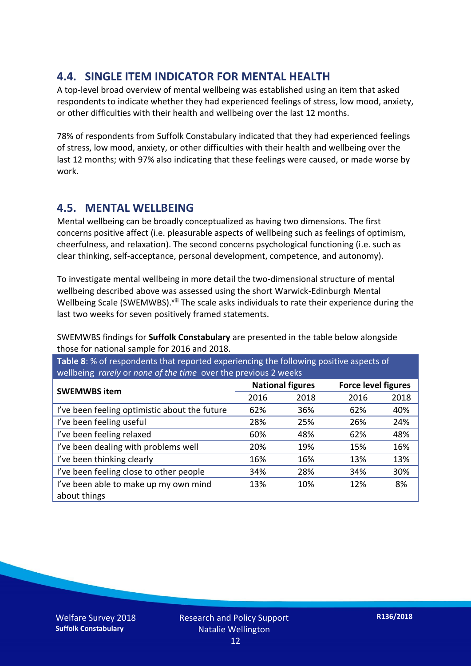#### **4.4. SINGLE ITEM INDICATOR FOR MENTAL HEALTH**

A top-level broad overview of mental wellbeing was established using an item that asked respondents to indicate whether they had experienced feelings of stress, low mood, anxiety, or other difficulties with their health and wellbeing over the last 12 months.

78% of respondents from Suffolk Constabulary indicated that they had experienced feelings of stress, low mood, anxiety, or other difficulties with their health and wellbeing over the last 12 months; with 97% also indicating that these feelings were caused, or made worse by work.

#### **4.5. MENTAL WELLBEING**

Mental wellbeing can be broadly conceptualized as having two dimensions. The first concerns positive affect (i.e. pleasurable aspects of wellbeing such as feelings of optimism, cheerfulness, and relaxation). The second concerns psychological functioning (i.e. such as clear thinking, self-acceptance, personal development, competence, and autonomy).

To investigate mental wellbeing in more detail the two-dimensional structure of mental wellbeing described above was assessed using the short Warwick-Edinburgh Mental Wellbeing Scale (SWEMWBS). viii The scale asks individuals to rate their experience during the last two weeks for seven positively framed statements.

SWEMWBS findings for **Suffolk Constabulary** are presented in the table below alongside those for national sample for 2016 and 2018.

**Table 8**: % of respondents that reported experiencing the following positive aspects of wellbeing *rarely* or *none of the time* over the previous 2 weeks

| <b>SWEMWBS item</b>                           | <b>National figures</b> |      | <b>Force level figures</b> |      |
|-----------------------------------------------|-------------------------|------|----------------------------|------|
|                                               | 2016                    | 2018 | 2016                       | 2018 |
| I've been feeling optimistic about the future | 62%                     | 36%  | 62%                        | 40%  |
| I've been feeling useful                      | 28%                     | 25%  | 26%                        | 24%  |
| I've been feeling relaxed                     | 60%                     | 48%  | 62%                        | 48%  |
| I've been dealing with problems well          | 20%                     | 19%  | 15%                        | 16%  |
| I've been thinking clearly                    | 16%                     | 16%  | 13%                        | 13%  |
| I've been feeling close to other people       | 34%                     | 28%  | 34%                        | 30%  |
| I've been able to make up my own mind         | 13%                     | 10%  | 12%                        | 8%   |
| about things                                  |                         |      |                            |      |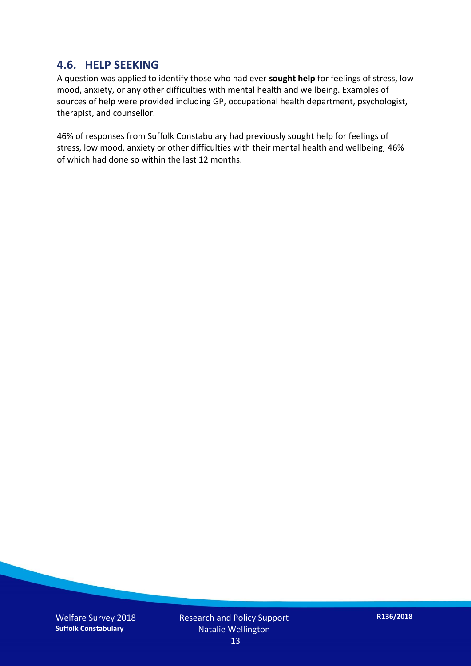#### **4.6. HELP SEEKING**

A question was applied to identify those who had ever **sought help** for feelings of stress, low mood, anxiety, or any other difficulties with mental health and wellbeing. Examples of sources of help were provided including GP, occupational health department, psychologist, therapist, and counsellor.

46% of responses from Suffolk Constabulary had previously sought help for feelings of stress, low mood, anxiety or other difficulties with their mental health and wellbeing, 46% of which had done so within the last 12 months.

Welfare Survey 2018 **Suffolk Constabulary**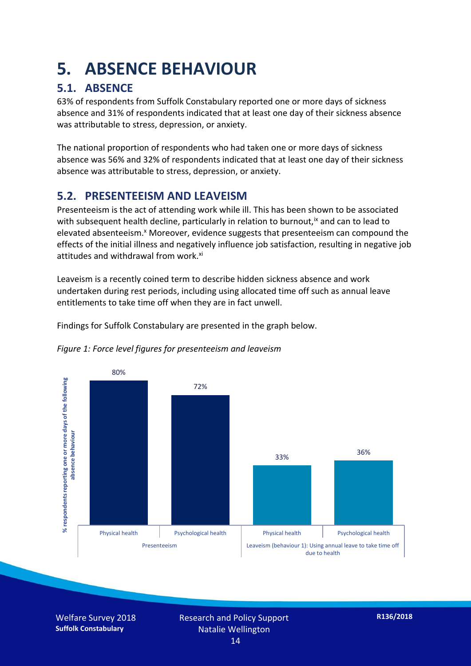### **5. ABSENCE BEHAVIOUR**

#### **5.1. ABSENCE**

63% of respondents from Suffolk Constabulary reported one or more days of sickness absence and 31% of respondents indicated that at least one day of their sickness absence was attributable to stress, depression, or anxiety.

The national proportion of respondents who had taken one or more days of sickness absence was 56% and 32% of respondents indicated that at least one day of their sickness absence was attributable to stress, depression, or anxiety.

#### **5.2. PRESENTEEISM AND LEAVEISM**

Presenteeism is the act of attending work while ill. This has been shown to be associated with subsequent health decline, particularly in relation to burnout,  $\alpha$  and can to lead to elevated absenteeism.<sup>x</sup> Moreover, evidence suggests that presenteeism can compound the effects of the initial illness and negatively influence job satisfaction, resulting in negative job attitudes and withdrawal from work.<sup>xi</sup>

Leaveism is a recently coined term to describe hidden sickness absence and work undertaken during rest periods, including using allocated time off such as annual leave entitlements to take time off when they are in fact unwell.

Findings for Suffolk Constabulary are presented in the graph below.





Welfare Survey 2018 **Suffolk Constabulary**

Research and Policy Support Natalie Wellington 14

**R136/2018**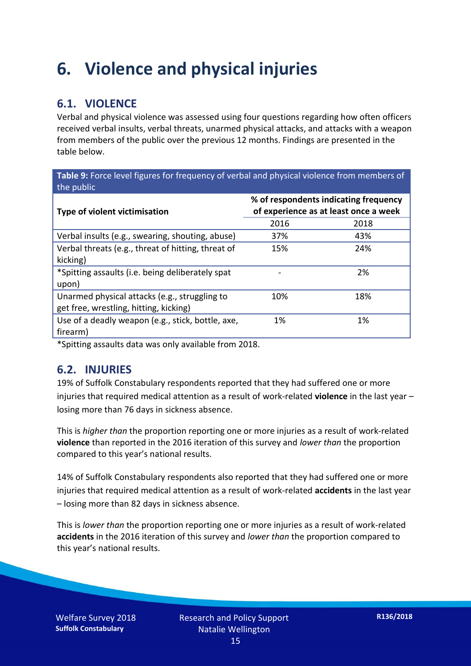### **6. Violence and physical injuries**

#### **6.1. VIOLENCE**

Verbal and physical violence was assessed using four questions regarding how often officers received verbal insults, verbal threats, unarmed physical attacks, and attacks with a weapon from members of the public over the previous 12 months. Findings are presented in the table below.

**Table 9:** Force level figures for frequency of verbal and physical violence from members of the public

| <b>Type of violent victimisation</b>               | % of respondents indicating frequency<br>of experience as at least once a week |      |  |
|----------------------------------------------------|--------------------------------------------------------------------------------|------|--|
|                                                    | 2016                                                                           | 2018 |  |
| Verbal insults (e.g., swearing, shouting, abuse)   | 37%                                                                            | 43%  |  |
| Verbal threats (e.g., threat of hitting, threat of | 15%                                                                            | 24%  |  |
| kicking)                                           |                                                                                |      |  |
| *Spitting assaults (i.e. being deliberately spat   |                                                                                | 2%   |  |
| upon)                                              |                                                                                |      |  |
| Unarmed physical attacks (e.g., struggling to      | 10%                                                                            | 18%  |  |
| get free, wrestling, hitting, kicking)             |                                                                                |      |  |
| Use of a deadly weapon (e.g., stick, bottle, axe,  | 1%                                                                             | 1%   |  |
| firearm)                                           |                                                                                |      |  |

\*Spitting assaults data was only available from 2018.

#### **6.2. INJURIES**

19% of Suffolk Constabulary respondents reported that they had suffered one or more injuries that required medical attention as a result of work-related **violence** in the last year – losing more than 76 days in sickness absence.

This is *higher than* the proportion reporting one or more injuries as a result of work-related **violence** than reported in the 2016 iteration of this survey and *lower than* the proportion compared to this year's national results.

14% of Suffolk Constabulary respondents also reported that they had suffered one or more injuries that required medical attention as a result of work-related **accidents** in the last year – losing more than 82 days in sickness absence.

This is *lower than* the proportion reporting one or more injuries as a result of work-related **accidents** in the 2016 iteration of this survey and *lower than* the proportion compared to this year's national results.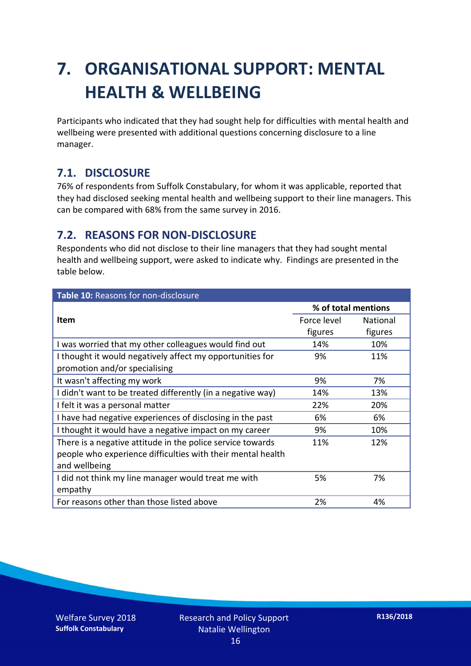## **7. ORGANISATIONAL SUPPORT: MENTAL HEALTH & WELLBEING**

Participants who indicated that they had sought help for difficulties with mental health and wellbeing were presented with additional questions concerning disclosure to a line manager.

#### **7.1. DISCLOSURE**

76% of respondents from Suffolk Constabulary, for whom it was applicable, reported that they had disclosed seeking mental health and wellbeing support to their line managers. This can be compared with 68% from the same survey in 2016.

#### **7.2. REASONS FOR NON-DISCLOSURE**

Respondents who did not disclose to their line managers that they had sought mental health and wellbeing support, were asked to indicate why. Findings are presented in the table below.

| Table 10: Reasons for non-disclosure                        |                     |          |  |
|-------------------------------------------------------------|---------------------|----------|--|
|                                                             | % of total mentions |          |  |
| <b>Item</b>                                                 | Force level         | National |  |
|                                                             | figures             | figures  |  |
| I was worried that my other colleagues would find out       | 14%                 | 10%      |  |
| I thought it would negatively affect my opportunities for   | 9%                  | 11%      |  |
| promotion and/or specialising                               |                     |          |  |
| It wasn't affecting my work                                 | 9%                  | 7%       |  |
| I didn't want to be treated differently (in a negative way) | 14%                 | 13%      |  |
| I felt it was a personal matter                             | 22%                 | 20%      |  |
| I have had negative experiences of disclosing in the past   | 6%                  | 6%       |  |
| I thought it would have a negative impact on my career      | 9%                  | 10%      |  |
| There is a negative attitude in the police service towards  | 11%                 | 12%      |  |
| people who experience difficulties with their mental health |                     |          |  |
| and wellbeing                                               |                     |          |  |
| I did not think my line manager would treat me with         | 5%                  | 7%       |  |
| empathy                                                     |                     |          |  |
| For reasons other than those listed above                   | 2%                  | 4%       |  |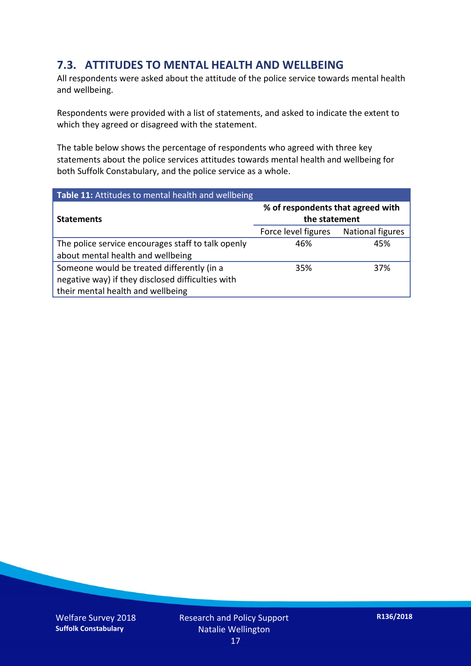#### **7.3. ATTITUDES TO MENTAL HEALTH AND WELLBEING**

All respondents were asked about the attitude of the police service towards mental health and wellbeing.

Respondents were provided with a list of statements, and asked to indicate the extent to which they agreed or disagreed with the statement.

The table below shows the percentage of respondents who agreed with three key statements about the police services attitudes towards mental health and wellbeing for both Suffolk Constabulary, and the police service as a whole.

| Table 11: Attitudes to mental health and wellbeing |                                                    |                         |  |
|----------------------------------------------------|----------------------------------------------------|-------------------------|--|
| <b>Statements</b>                                  | % of respondents that agreed with<br>the statement |                         |  |
|                                                    | Force level figures                                | <b>National figures</b> |  |
| The police service encourages staff to talk openly | 46%                                                | 45%                     |  |
| about mental health and wellbeing                  |                                                    |                         |  |
| Someone would be treated differently (in a         | 35%                                                | 37%                     |  |
| negative way) if they disclosed difficulties with  |                                                    |                         |  |
| their mental health and wellbeing                  |                                                    |                         |  |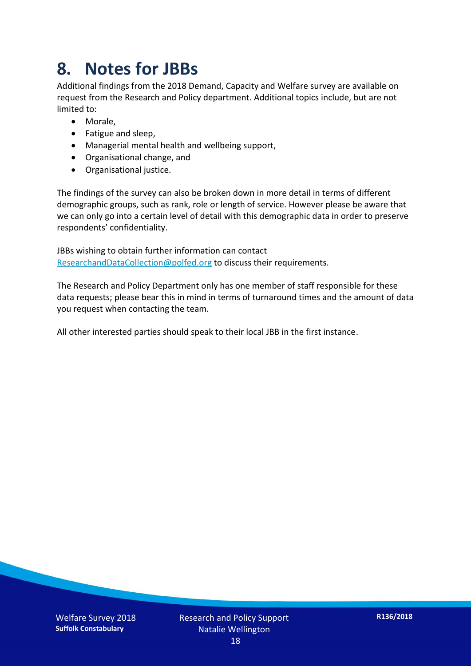### **8. Notes for JBBs**

Additional findings from the 2018 Demand, Capacity and Welfare survey are available on request from the Research and Policy department. Additional topics include, but are not limited to:

- Morale,
- Fatigue and sleep,
- Managerial mental health and wellbeing support,
- Organisational change, and
- Organisational justice.

The findings of the survey can also be broken down in more detail in terms of different demographic groups, such as rank, role or length of service. However please be aware that we can only go into a certain level of detail with this demographic data in order to preserve respondents' confidentiality.

JBBs wishing to obtain further information can contact [ResearchandDataCollection@polfed.org](mailto:ResearchandDataCollection@polfed.org) to discuss their requirements.

The Research and Policy Department only has one member of staff responsible for these data requests; please bear this in mind in terms of turnaround times and the amount of data you request when contacting the team.

All other interested parties should speak to their local JBB in the first instance.